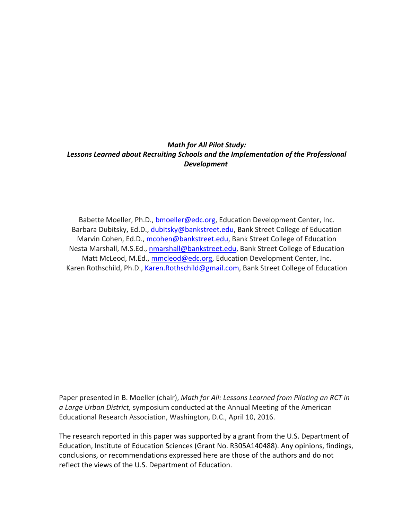# **Math for All Pilot Study:** Lessons Learned about Recruiting Schools and the Implementation of the Professional *Development*

Babette Moeller, Ph.D., bmoeller@edc.org, Education Development Center, Inc. Barbara Dubitsky, Ed.D., dubitsky@bankstreet.edu, Bank Street College of Education Marvin Cohen, Ed.D., mcohen@bankstreet.edu, Bank Street College of Education Nesta Marshall, M.S.Ed., nmarshall@bankstreet.edu, Bank Street College of Education Matt McLeod, M.Ed., mmcleod@edc.org, Education Development Center, Inc. Karen Rothschild, Ph.D., Karen.Rothschild@gmail.com, Bank Street College of Education

Paper presented in B. Moeller (chair), *Math for All: Lessons Learned from Piloting an RCT in* a Large Urban District, symposium conducted at the Annual Meeting of the American Educational Research Association, Washington, D.C., April 10, 2016.

The research reported in this paper was supported by a grant from the U.S. Department of Education, Institute of Education Sciences (Grant No. R305A140488). Any opinions, findings, conclusions, or recommendations expressed here are those of the authors and do not reflect the views of the U.S. Department of Education.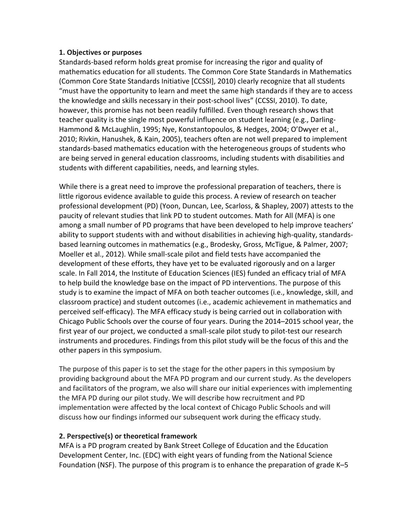### **1. Objectives or purposes**

Standards-based reform holds great promise for increasing the rigor and quality of mathematics education for all students. The Common Core State Standards in Mathematics (Common Core State Standards Initiative [CCSSI], 2010) clearly recognize that all students "must have the opportunity to learn and meet the same high standards if they are to access the knowledge and skills necessary in their post-school lives" (CCSSI, 2010). To date, however, this promise has not been readily fulfilled. Even though research shows that teacher quality is the single most powerful influence on student learning (e.g., Darling-Hammond & McLaughlin, 1995; Nye, Konstantopoulos, & Hedges, 2004; O'Dwyer et al., 2010; Rivkin, Hanushek, & Kain, 2005), teachers often are not well prepared to implement standards-based mathematics education with the heterogeneous groups of students who are being served in general education classrooms, including students with disabilities and students with different capabilities, needs, and learning styles.

While there is a great need to improve the professional preparation of teachers, there is little rigorous evidence available to guide this process. A review of research on teacher professional development (PD) (Yoon, Duncan, Lee, Scarloss, & Shapley, 2007) attests to the paucity of relevant studies that link PD to student outcomes. Math for All (MFA) is one among a small number of PD programs that have been developed to help improve teachers' ability to support students with and without disabilities in achieving high-quality, standardsbased learning outcomes in mathematics (e.g., Brodesky, Gross, McTigue, & Palmer, 2007; Moeller et al., 2012). While small-scale pilot and field tests have accompanied the development of these efforts, they have yet to be evaluated rigorously and on a larger scale. In Fall 2014, the Institute of Education Sciences (IES) funded an efficacy trial of MFA to help build the knowledge base on the impact of PD interventions. The purpose of this study is to examine the impact of MFA on both teacher outcomes (i.e., knowledge, skill, and classroom practice) and student outcomes (i.e., academic achievement in mathematics and perceived self-efficacy). The MFA efficacy study is being carried out in collaboration with Chicago Public Schools over the course of four years. During the 2014–2015 school year, the first year of our project, we conducted a small-scale pilot study to pilot-test our research instruments and procedures. Findings from this pilot study will be the focus of this and the other papers in this symposium.

The purpose of this paper is to set the stage for the other papers in this symposium by providing background about the MFA PD program and our current study. As the developers and facilitators of the program, we also will share our initial experiences with implementing the MFA PD during our pilot study. We will describe how recruitment and PD implementation were affected by the local context of Chicago Public Schools and will discuss how our findings informed our subsequent work during the efficacy study.

## **2. Perspective(s) or theoretical framework**

MFA is a PD program created by Bank Street College of Education and the Education Development Center, Inc. (EDC) with eight years of funding from the National Science Foundation (NSF). The purpose of this program is to enhance the preparation of grade  $K-5$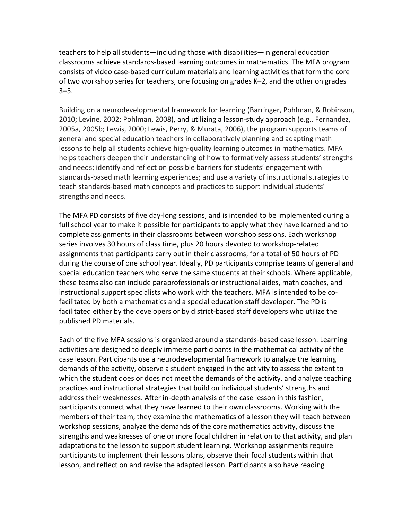teachers to help all students—including those with disabilities—in general education classrooms achieve standards-based learning outcomes in mathematics. The MFA program consists of video case-based curriculum materials and learning activities that form the core of two workshop series for teachers, one focusing on grades K–2, and the other on grades 3–5. 

Building on a neurodevelopmental framework for learning (Barringer, Pohlman, & Robinson, 2010; Levine, 2002; Pohlman, 2008), and utilizing a lesson-study approach (e.g., Fernandez, 2005a, 2005b; Lewis, 2000; Lewis, Perry, & Murata, 2006), the program supports teams of general and special education teachers in collaboratively planning and adapting math lessons to help all students achieve high-quality learning outcomes in mathematics. MFA helps teachers deepen their understanding of how to formatively assess students' strengths and needs; identify and reflect on possible barriers for students' engagement with standards-based math learning experiences; and use a variety of instructional strategies to teach standards-based math concepts and practices to support individual students' strengths and needs.

The MFA PD consists of five day-long sessions, and is intended to be implemented during a full school year to make it possible for participants to apply what they have learned and to complete assignments in their classrooms between workshop sessions. Each workshop series involves 30 hours of class time, plus 20 hours devoted to workshop-related assignments that participants carry out in their classrooms, for a total of 50 hours of PD during the course of one school year. Ideally, PD participants comprise teams of general and special education teachers who serve the same students at their schools. Where applicable, these teams also can include paraprofessionals or instructional aides, math coaches, and instructional support specialists who work with the teachers. MFA is intended to be cofacilitated by both a mathematics and a special education staff developer. The PD is facilitated either by the developers or by district-based staff developers who utilize the published PD materials.

Each of the five MFA sessions is organized around a standards-based case lesson. Learning activities are designed to deeply immerse participants in the mathematical activity of the case lesson. Participants use a neurodevelopmental framework to analyze the learning demands of the activity, observe a student engaged in the activity to assess the extent to which the student does or does not meet the demands of the activity, and analyze teaching practices and instructional strategies that build on individual students' strengths and address their weaknesses. After in-depth analysis of the case lesson in this fashion, participants connect what they have learned to their own classrooms. Working with the members of their team, they examine the mathematics of a lesson they will teach between workshop sessions, analyze the demands of the core mathematics activity, discuss the strengths and weaknesses of one or more focal children in relation to that activity, and plan adaptations to the lesson to support student learning. Workshop assignments require participants to implement their lessons plans, observe their focal students within that lesson, and reflect on and revise the adapted lesson. Participants also have reading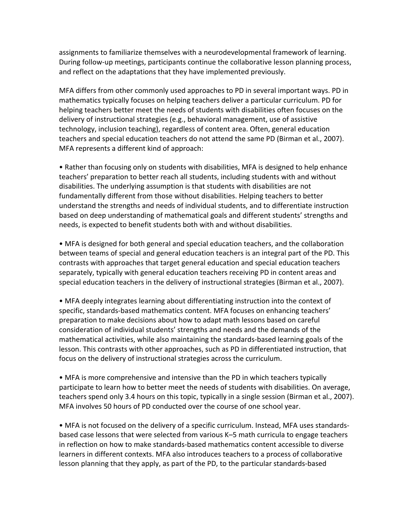assignments to familiarize themselves with a neurodevelopmental framework of learning. During follow-up meetings, participants continue the collaborative lesson planning process, and reflect on the adaptations that they have implemented previously.

MFA differs from other commonly used approaches to PD in several important ways. PD in mathematics typically focuses on helping teachers deliver a particular curriculum. PD for helping teachers better meet the needs of students with disabilities often focuses on the delivery of instructional strategies  $(e.g.,$  behavioral management, use of assistive technology, inclusion teaching), regardless of content area. Often, general education teachers and special education teachers do not attend the same PD (Birman et al., 2007). MFA represents a different kind of approach:

• Rather than focusing only on students with disabilities, MFA is designed to help enhance teachers' preparation to better reach all students, including students with and without disabilities. The underlying assumption is that students with disabilities are not fundamentally different from those without disabilities. Helping teachers to better understand the strengths and needs of individual students, and to differentiate instruction based on deep understanding of mathematical goals and different students' strengths and needs, is expected to benefit students both with and without disabilities.

• MFA is designed for both general and special education teachers, and the collaboration between teams of special and general education teachers is an integral part of the PD. This contrasts with approaches that target general education and special education teachers separately, typically with general education teachers receiving PD in content areas and special education teachers in the delivery of instructional strategies (Birman et al., 2007).

• MFA deeply integrates learning about differentiating instruction into the context of specific, standards-based mathematics content. MFA focuses on enhancing teachers' preparation to make decisions about how to adapt math lessons based on careful consideration of individual students' strengths and needs and the demands of the mathematical activities, while also maintaining the standards-based learning goals of the lesson. This contrasts with other approaches, such as PD in differentiated instruction, that focus on the delivery of instructional strategies across the curriculum.

• MFA is more comprehensive and intensive than the PD in which teachers typically participate to learn how to better meet the needs of students with disabilities. On average, teachers spend only 3.4 hours on this topic, typically in a single session (Birman et al., 2007). MFA involves 50 hours of PD conducted over the course of one school year.

• MFA is not focused on the delivery of a specific curriculum. Instead, MFA uses standardsbased case lessons that were selected from various K–5 math curricula to engage teachers in reflection on how to make standards-based mathematics content accessible to diverse learners in different contexts. MFA also introduces teachers to a process of collaborative lesson planning that they apply, as part of the PD, to the particular standards-based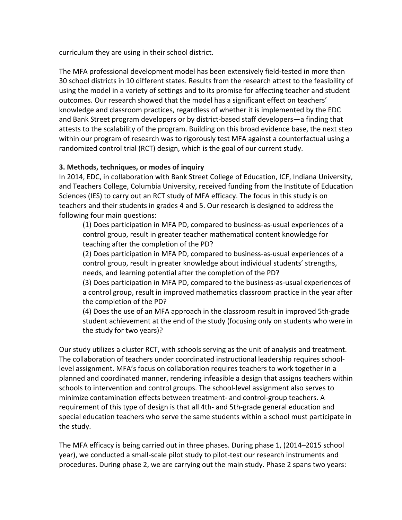curriculum they are using in their school district.

The MFA professional development model has been extensively field-tested in more than 30 school districts in 10 different states. Results from the research attest to the feasibility of using the model in a variety of settings and to its promise for affecting teacher and student outcomes. Our research showed that the model has a significant effect on teachers' knowledge and classroom practices, regardless of whether it is implemented by the EDC and Bank Street program developers or by district-based staff developers—a finding that attests to the scalability of the program. Building on this broad evidence base, the next step within our program of research was to rigorously test MFA against a counterfactual using a randomized control trial (RCT) design, which is the goal of our current study.

## **3. Methods, techniques, or modes of inquiry**

In 2014, EDC, in collaboration with Bank Street College of Education, ICF, Indiana University, and Teachers College, Columbia University, received funding from the Institute of Education Sciences (IES) to carry out an RCT study of MFA efficacy. The focus in this study is on teachers and their students in grades 4 and 5. Our research is designed to address the following four main questions:

(1) Does participation in MFA PD, compared to business-as-usual experiences of a control group, result in greater teacher mathematical content knowledge for teaching after the completion of the PD?

(2) Does participation in MFA PD, compared to business-as-usual experiences of a control group, result in greater knowledge about individual students' strengths, needs, and learning potential after the completion of the PD?

(3) Does participation in MFA PD, compared to the business-as-usual experiences of a control group, result in improved mathematics classroom practice in the year after the completion of the PD?

(4) Does the use of an MFA approach in the classroom result in improved 5th-grade student achievement at the end of the study (focusing only on students who were in the study for two years)?

Our study utilizes a cluster RCT, with schools serving as the unit of analysis and treatment. The collaboration of teachers under coordinated instructional leadership requires schoollevel assignment. MFA's focus on collaboration requires teachers to work together in a planned and coordinated manner, rendering infeasible a design that assigns teachers within schools to intervention and control groups. The school-level assignment also serves to minimize contamination effects between treatment- and control-group teachers. A requirement of this type of design is that all 4th- and 5th-grade general education and special education teachers who serve the same students within a school must participate in the study.

The MFA efficacy is being carried out in three phases. During phase 1, (2014–2015 school year), we conducted a small-scale pilot study to pilot-test our research instruments and procedures. During phase 2, we are carrying out the main study. Phase 2 spans two years: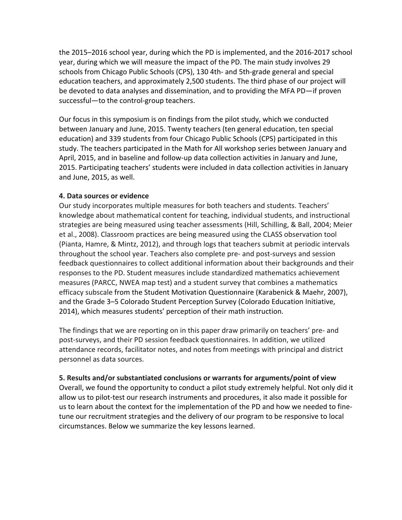the 2015–2016 school year, during which the PD is implemented, and the 2016-2017 school year, during which we will measure the impact of the PD. The main study involves 29 schools from Chicago Public Schools (CPS), 130 4th- and 5th-grade general and special education teachers, and approximately 2,500 students. The third phase of our project will be devoted to data analyses and dissemination, and to providing the MFA PD—if proven successful-to the control-group teachers.

Our focus in this symposium is on findings from the pilot study, which we conducted between January and June, 2015. Twenty teachers (ten general education, ten special education) and 339 students from four Chicago Public Schools (CPS) participated in this study. The teachers participated in the Math for All workshop series between January and April, 2015, and in baseline and follow-up data collection activities in January and June, 2015. Participating teachers' students were included in data collection activities in January and June, 2015, as well.

#### **4. Data sources or evidence**

Our study incorporates multiple measures for both teachers and students. Teachers' knowledge about mathematical content for teaching, individual students, and instructional strategies are being measured using teacher assessments (Hill, Schilling, & Ball, 2004; Meier et al., 2008). Classroom practices are being measured using the CLASS observation tool (Pianta, Hamre, & Mintz, 2012), and through logs that teachers submit at periodic intervals throughout the school year. Teachers also complete pre- and post-surveys and session feedback questionnaires to collect additional information about their backgrounds and their responses to the PD. Student measures include standardized mathematics achievement measures (PARCC, NWEA map test) and a student survey that combines a mathematics efficacy subscale from the Student Motivation Questionnaire (Karabenick & Maehr, 2007), and the Grade 3-5 Colorado Student Perception Survey (Colorado Education Initiative, 2014), which measures students' perception of their math instruction.

The findings that we are reporting on in this paper draw primarily on teachers' pre- and post-surveys, and their PD session feedback questionnaires. In addition, we utilized attendance records, facilitator notes, and notes from meetings with principal and district personnel as data sources.

**5. Results and/or substantiated conclusions or warrants for arguments/point of view** Overall, we found the opportunity to conduct a pilot study extremely helpful. Not only did it allow us to pilot-test our research instruments and procedures, it also made it possible for us to learn about the context for the implementation of the PD and how we needed to finetune our recruitment strategies and the delivery of our program to be responsive to local circumstances. Below we summarize the key lessons learned.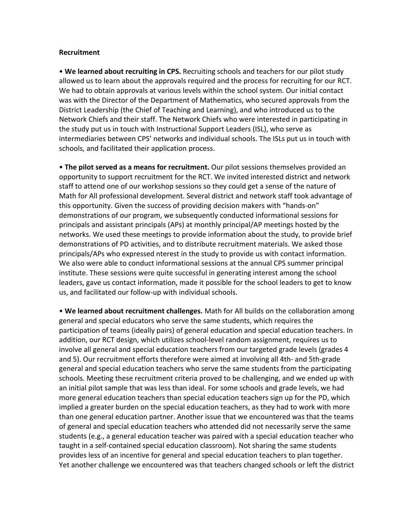#### **Recruitment**

• We learned about recruiting in CPS. Recruiting schools and teachers for our pilot study allowed us to learn about the approvals required and the process for recruiting for our RCT. We had to obtain approvals at various levels within the school system. Our initial contact was with the Director of the Department of Mathematics, who secured approvals from the District Leadership (the Chief of Teaching and Learning), and who introduced us to the Network Chiefs and their staff. The Network Chiefs who were interested in participating in the study put us in touch with Instructional Support Leaders (ISL), who serve as intermediaries between CPS' networks and individual schools. The ISLs put us in touch with schools, and facilitated their application process.

• The pilot served as a means for recruitment. Our pilot sessions themselves provided an opportunity to support recruitment for the RCT. We invited interested district and network staff to attend one of our workshop sessions so they could get a sense of the nature of Math for All professional development. Several district and network staff took advantage of this opportunity. Given the success of providing decision makers with "hands-on" demonstrations of our program, we subsequently conducted informational sessions for principals and assistant principals (APs) at monthly principal/AP meetings hosted by the networks. We used these meetings to provide information about the study, to provide brief demonstrations of PD activities, and to distribute recruitment materials. We asked those principals/APs who expressed nterest in the study to provide us with contact information. We also were able to conduct informational sessions at the annual CPS summer principal institute. These sessions were quite successful in generating interest among the school leaders, gave us contact information, made it possible for the school leaders to get to know us, and facilitated our follow-up with individual schools.

• We learned about recruitment challenges. Math for All builds on the collaboration among general and special educators who serve the same students, which requires the participation of teams (ideally pairs) of general education and special education teachers. In addition, our RCT design, which utilizes school-level random assignment, requires us to involve all general and special education teachers from our targeted grade levels (grades 4 and 5). Our recruitment efforts therefore were aimed at involving all 4th- and 5th-grade general and special education teachers who serve the same students from the participating schools. Meeting these recruitment criteria proved to be challenging, and we ended up with an initial pilot sample that was less than ideal. For some schools and grade levels, we had more general education teachers than special education teachers sign up for the PD, which implied a greater burden on the special education teachers, as they had to work with more than one general education partner. Another issue that we encountered was that the teams of general and special education teachers who attended did not necessarily serve the same students (e.g., a general education teacher was paired with a special education teacher who taught in a self-contained special education classroom). Not sharing the same students provides less of an incentive for general and special education teachers to plan together. Yet another challenge we encountered was that teachers changed schools or left the district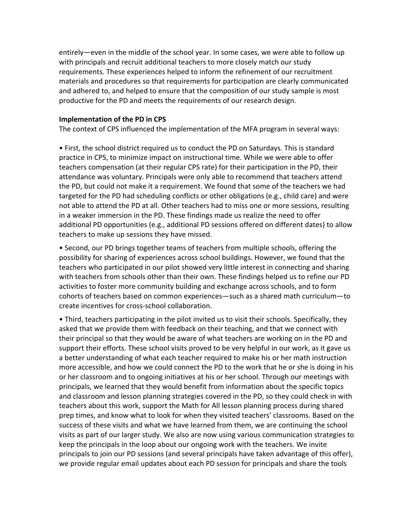entirely—even in the middle of the school year. In some cases, we were able to follow up with principals and recruit additional teachers to more closely match our study requirements. These experiences helped to inform the refinement of our recruitment materials and procedures so that requirements for participation are clearly communicated and adhered to, and helped to ensure that the composition of our study sample is most productive for the PD and meets the requirements of our research design.

#### **Implementation of the PD in CPS**

The context of CPS influenced the implementation of the MFA program in several ways:

• First, the school district required us to conduct the PD on Saturdays. This is standard practice in CPS, to minimize impact on instructional time. While we were able to offer teachers compensation (at their regular CPS rate) for their participation in the PD, their attendance was voluntary. Principals were only able to recommend that teachers attend the PD, but could not make it a requirement. We found that some of the teachers we had targeted for the PD had scheduling conflicts or other obligations (e.g., child care) and were not able to attend the PD at all. Other teachers had to miss one or more sessions, resulting in a weaker immersion in the PD. These findings made us realize the need to offer additional PD opportunities (e.g., additional PD sessions offered on different dates) to allow teachers to make up sessions they have missed.

• Second, our PD brings together teams of teachers from multiple schools, offering the possibility for sharing of experiences across school buildings. However, we found that the teachers who participated in our pilot showed very little interest in connecting and sharing with teachers from schools other than their own. These findings helped us to refine our PD activities to foster more community building and exchange across schools, and to form cohorts of teachers based on common experiences—such as a shared math curriculum—to create incentives for cross-school collaboration.

• Third, teachers participating in the pilot invited us to visit their schools. Specifically, they asked that we provide them with feedback on their teaching, and that we connect with their principal so that they would be aware of what teachers are working on in the PD and support their efforts. These school visits proved to be very helpful in our work, as it gave us a better understanding of what each teacher required to make his or her math instruction more accessible, and how we could connect the PD to the work that he or she is doing in his or her classroom and to ongoing initiatives at his or her school. Through our meetings with principals, we learned that they would benefit from information about the specific topics and classroom and lesson planning strategies covered in the PD, so they could check in with teachers about this work, support the Math for All lesson planning process during shared prep times, and know what to look for when they visited teachers' classrooms. Based on the success of these visits and what we have learned from them, we are continuing the school visits as part of our larger study. We also are now using various communication strategies to keep the principals in the loop about our ongoing work with the teachers. We invite principals to join our PD sessions (and several principals have taken advantage of this offer), we provide regular email updates about each PD session for principals and share the tools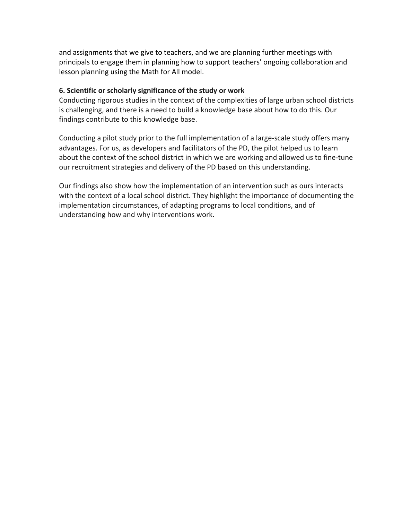and assignments that we give to teachers, and we are planning further meetings with principals to engage them in planning how to support teachers' ongoing collaboration and lesson planning using the Math for All model.

## **6. Scientific or scholarly significance of the study or work**

Conducting rigorous studies in the context of the complexities of large urban school districts is challenging, and there is a need to build a knowledge base about how to do this. Our findings contribute to this knowledge base.

Conducting a pilot study prior to the full implementation of a large-scale study offers many advantages. For us, as developers and facilitators of the PD, the pilot helped us to learn about the context of the school district in which we are working and allowed us to fine-tune our recruitment strategies and delivery of the PD based on this understanding.

Our findings also show how the implementation of an intervention such as ours interacts with the context of a local school district. They highlight the importance of documenting the implementation circumstances, of adapting programs to local conditions, and of understanding how and why interventions work.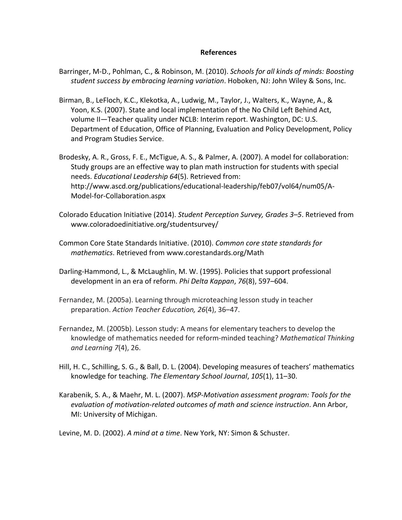#### **References**

- Barringer, M-D., Pohlman, C., & Robinson, M. (2010). *Schools for all kinds of minds: Boosting student success by embracing learning variation*. Hoboken, NJ: John Wiley & Sons, Inc.
- Birman, B., LeFloch, K.C., Klekotka, A., Ludwig, M., Taylor, J., Walters, K., Wayne, A., & Yoon, K.S. (2007). State and local implementation of the No Child Left Behind Act, volume II—Teacher quality under NCLB: Interim report. Washington, DC: U.S. Department of Education, Office of Planning, Evaluation and Policy Development, Policy and Program Studies Service.
- Brodesky, A. R., Gross, F. E., McTigue, A. S., & Palmer, A. (2007). A model for collaboration: Study groups are an effective way to plan math instruction for students with special needs. *Educational Leadership 64*(5). Retrieved from: http://www.ascd.org/publications/educational-leadership/feb07/vol64/num05/A-Model-for-Collaboration.aspx
- Colorado Education Initiative (2014). *Student Perception Survey, Grades 3–5*. Retrieved from www.coloradoedinitiative.org/studentsurvey/
- Common Core State Standards Initiative. (2010). *Common core state standards for mathematics*. Retrieved from www.corestandards.org/Math
- Darling-Hammond, L., & McLaughlin, M. W. (1995). Policies that support professional development in an era of reform. Phi Delta Kappan, 76(8), 597-604.
- Fernandez, M. (2005a). Learning through microteaching lesson study in teacher preparation. *Action Teacher Education, 26*(4), 36–47.
- Fernandez, M. (2005b). Lesson study: A means for elementary teachers to develop the knowledge of mathematics needed for reform-minded teaching? *Mathematical Thinking and Learning 7(4), 26.*
- Hill, H. C., Schilling, S. G., & Ball, D. L. (2004). Developing measures of teachers' mathematics knowledge for teaching. The Elementary School Journal, 105(1), 11-30.
- Karabenik, S. A., & Maehr, M. L. (2007). *MSP-Motivation assessment program: Tools for the* evaluation of motivation-related outcomes of math and science instruction. Ann Arbor, MI: University of Michigan.
- Levine, M. D. (2002). A mind at a time. New York, NY: Simon & Schuster.